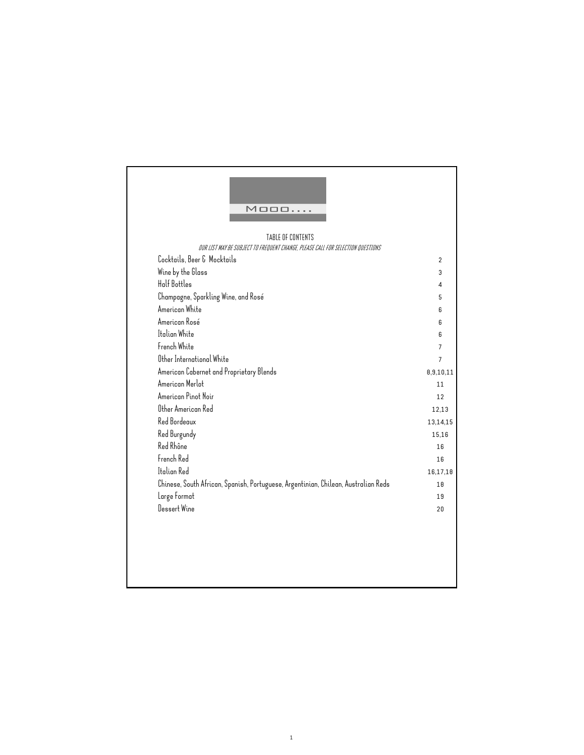| TABLE OF CONTENTS                                                                  |           |
|------------------------------------------------------------------------------------|-----------|
| OUR LIST MAY BE SUBJECT TO FREQUENT CHANGE, PLEASE CALL FOR SELECTION QUESTIONS    |           |
| Cocktails, Beer & Mocktails                                                        |           |
| Wine by the Glass                                                                  |           |
| Half Bottles                                                                       |           |
| Champagne, Sparkling Wine, and Rosé                                                |           |
| American White                                                                     |           |
| American Rosé                                                                      |           |
| Italian White                                                                      |           |
| French White                                                                       |           |
| Other International White                                                          |           |
| American Cabernet and Proprietary Blends                                           | 8,9,10,11 |
| American Merlot                                                                    |           |
| American Pinot Noir                                                                |           |
| Other American Red                                                                 | 12,13     |
| Red Bordeaux                                                                       | 13,14,15  |
| Red Burgundy                                                                       |           |
| Red Rhône                                                                          |           |
| French Red                                                                         |           |
| Italian Red                                                                        | 16,17,18  |
| Chinese, South African, Spanish, Portuguese, Argentinian, Chilean, Australian Reds |           |
| Large Format                                                                       |           |
| Dessert Wine                                                                       |           |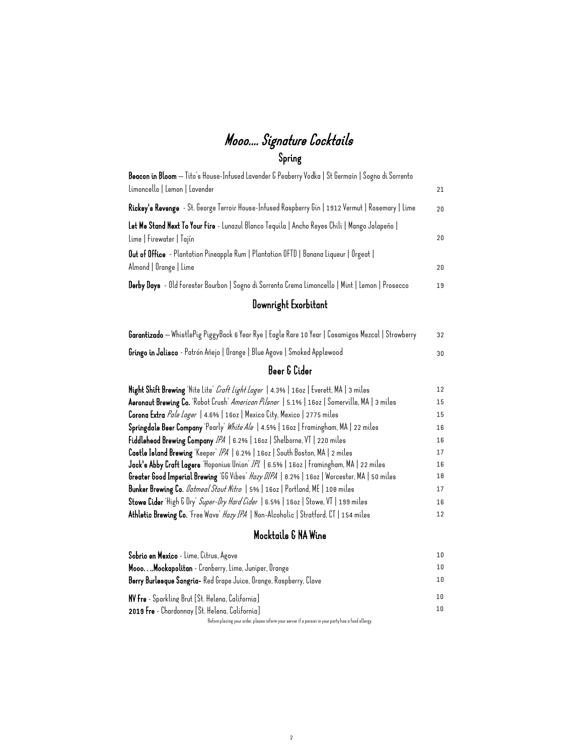## Mooo.... Signature Cocktails Spring

| Beacon in Bloom — Tito's House-Infused Lavender & Peaberry Vodka   St Germain   Sogno di Sorrento<br>Limoncello   Lemon   Lavender | 21 |
|------------------------------------------------------------------------------------------------------------------------------------|----|
| Rickey's Revenge - St. George Terroir House-Infused Raspberry Gin   1912 Vermut   Rosemary   Lime                                  | 20 |
| Let Me Stand Next To Your Fire - Lunazul Blanco Tequila   Ancho Reyes Chili   Mango Jalapeño  <br>Lime   Firewater   Tajín         | 20 |
| Out of Office - Plantation Pineapple Rum   Plantation OFTD   Banana Liqueur   Orgeat  <br>Almond   Orange   Lime                   | 20 |
| Derby Days - Old Forester Bourbon   Sogno di Sorrento Crema Limoncello   Mint   Lemon   Prosecco                                   | 19 |
| Downright Exorbitant                                                                                                               |    |
| <b>Garantizado</b> — WhistlePig PiggyBack 6 Year Rye   Eagle Rare 10 Year   Casamigos Mezcal   Strawberry                          | 32 |
| <b>Gringo in Jalisco</b> - Patrón Añejo   Orange   Blue Agave   Smoked Applewood                                                   | 30 |

#### Beer & Cider

| Night Shift Brewing 'Nite Lite' Craft Light Lager   4.3%   160z   Everett, MA   3 miles      | 12 |
|----------------------------------------------------------------------------------------------|----|
| Aeronaut Brewing Co. 'Robot Crush' American Pilsner   5.1%   1602   Somerville, MA   3 miles | 15 |
| Corona Extra Pale Lager   4.6%   160z   Mexico City, Mexico   2775 miles                     | 15 |
| Springdale Beer Company 'Pearly' White Ale   4.5%   160z   Framingham, MA   22 miles         | 16 |
| Fiddlehead Brewing Company IPA   6.2%   160z   Shelborne, VT   220 miles                     | 16 |
| Castle Island Brewing 'Keeper' IPA   6.2%   160z   South Boston, MA   2 miles                | 17 |
| Jack's Abby Craft Lagers 'Hoponius Union' /P/   6.5%   160z   Framingham, MA   22 miles      | 16 |
| Greater Good Imperial Brewing '66 Vibes' Hazy DIPA   0.2%   160z   Worcester, MA   50 miles  | 18 |
| Bunker Brewing Co. <i>Datmeal Stout Nitro</i>   5%   160z   Portland, ME   108 miles         | 17 |
| Stowe Cider 'High G Dry' Super-Dry Hard Cider   6.5%   160z   Stowe, VT   199 miles          | 16 |
| Athletic Brewing Co. 'Free Wave' Hazy IPA   Non-Alcoholic   Stratford, CT   154 miles        | 12 |

#### Mocktails & NA Wine

| Sobrio en Mexico - Lime, Citrus, Agave                                                             | 10 <sup>°</sup> |
|----------------------------------------------------------------------------------------------------|-----------------|
| Mooo Mockapolitan - Cranberry, Lime, Juniper, Orange                                               | 10 <sup>°</sup> |
| Berry Burlesque Sangria- Red Grape Juice, Orange, Raspberry, Clove                                 | 10 <sup>°</sup> |
| NV Fre - Sparkling Brut [St. Helena, California]                                                   | 1 N             |
| 2019 Fre - Chardonnay [St. Helena, California]                                                     | 1 N             |
| Before placing your order, please inform your server if a person in your party has a food allergy. |                 |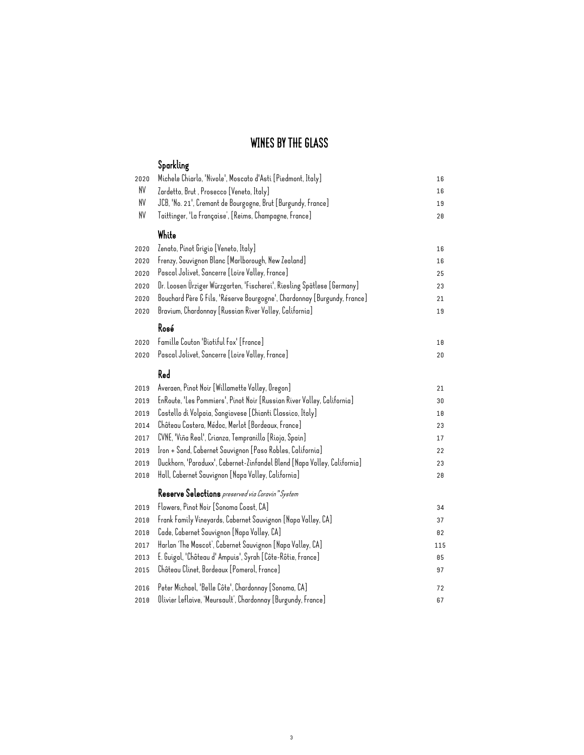### WINES BY THE GLASS

|      | Sparkling                                                                |     |
|------|--------------------------------------------------------------------------|-----|
| 2020 | Michele Chiarlo, 'Nivole', Moscato d'Asti [Piedmont, Italy]              | 16  |
| NV   | Zardetto, Brut, Prosecco [Veneto, Italy]                                 | 16  |
| NV   | JCB, 'No. 21', Cremant de Bourgogne, Brut [Burgundy, France]             | 19  |
| NV   | Taittinger, 'La Française', [Reims, Champagne, France]                   | 28  |
|      | White                                                                    |     |
| 2020 | Zenato, Pinot Grigio [Veneto, Italy]                                     | 16  |
| 2020 | Frenzy, Sauvignon Blanc [Marlborough, New Zealand]                       | 16  |
| 2020 | Pascal Jolivet, Sancerre [Loire Valley, France]                          | 25  |
| 2020 | Dr. Loosen Ürziger Würzgarten, 'Fischerei', Riesling Spätlese [Germany]  | 23  |
| 2020 | Bouchard Père & Fils, 'Réserve Bourgogne', Chardonnay [Burgundy, France] | 21  |
| 2020 | Bravium, Chardonnay [Russian River Valley, California]                   | 19  |
|      | Rosé                                                                     |     |
| 2020 | Famille Couton 'Biotiful Fox' [France]                                   | 10  |
| 2020 | Pascal Jolivet, Sancerre [Loire Valley, France]                          | 20  |
|      | Red                                                                      |     |
| 2019 | Averaen, Pinot Noir [Willamette Valley, Oregon]                          | 21  |
| 2019 | EnRoute, 'Les Pommiers', Pinot Noir [Russian River Valley, California]   | 30  |
| 2019 | Castello di Volpaia, Sangiovese [Chianti Classico, Italy]                | 10  |
| 2014 | Château Castera, Médoc, Merlot [Bordeaux, France]                        | 23  |
| 2017 | CVNE, 'Viña Real', Crianza, Tempranillo [Rioja, Spain]                   | 17  |
| 2019 | Iron + Sand, Cabernet Sauvignon [Paso Robles, California]                | 22  |
| 2019 | Duckhorn, 'Paraduxx', Cabernet-Zinfandel Blend [Napa Valley, California] | 23  |
| 2018 | Hall, Cabernet Sauvignon [Napa Valley, California]                       | 28  |
|      | Reserve Selections preserved via Coravin "System                         |     |
| 2019 | Flowers, Pinot Noir [Sonoma Coast, CA]                                   | 34  |
| 2018 | Frank Family Vineyards, Cabernet Sauvignon [Napa Valley, CA]             | 37  |
| 2018 | Cade, Cabernet Sauvignon [Napa Valley, CA]                               | 82  |
| 2017 | Harlan 'The Mascot', Cabernet Sauvignon [Napa Valley, CA]                | 115 |
| 2013 | E. Guigal, 'Château d' Ampuis', Syrah [Côte-Rôtie, France]               | 85  |
| 2015 | Château Clinet, Bordeaux [Pomerol, France]                               | 97  |
| 2016 | Peter Michael, 'Belle Côte', Chardonnay [Sonoma, CA]                     | 72  |
| 2018 | Olivier Leflaive, 'Meursault', Chardonnay [Burgundy, France]             | 67  |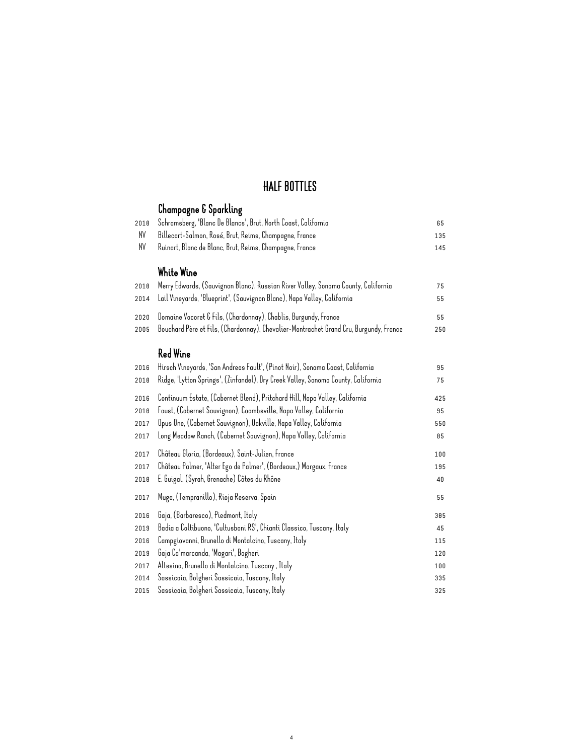#### HALF BOTTLES

#### Champagne & Sparkling Schramsberg, 'Blanc De Blancs', Brut, North Coast, California 65 NV Billecart-Salmon, Rosé, Brut, Reims, Champagne, France 135 NV Ruinart, Blanc de Blanc, Brut, Reims, Champagne, France 145 White Wine Merry Edwards, (Sauvignon Blanc), Russian River Valley, Sonoma County, California 75 Lail Vineyards, 'Blueprint', (Sauvignon Blanc), Napa Valley, California 55 Domaine Vocoret & Fils, (Chardonnay), Chablis, Burgundy, France 55 Bouchard Père et Fils, (Chardonnay), Chevalier-Montrachet Grand Cru, Burgundy, France 250 Red Wine Hirsch Vineyards, 'San Andreas Fault', (Pinot Noir), Sonoma Coast, California 95 Ridge, 'Lytton Springs', (Zinfandel), Dry Creek Valley, Sonoma County, California 75 Continuum Estate, (Cabernet Blend), Pritchard Hill, Napa Valley, California 425 Faust, (Cabernet Sauvignon), Coombsville, Napa Valley, California 95 Opus One, (Cabernet Sauvignon), Oakville, Napa Valley, California 550 Long Meadow Ranch, (Cabernet Sauvignon), Napa Valley, California 85 Château Gloria, (Bordeaux), Saint-Julien, France 100 Château Palmer, 'Alter Ego de Palmer', (Bordeaux,) Margaux, France 195 E. Guigal, (Syrah, Grenache) Côtes du Rhône 40 Muga, (Tempranillo), Rioja Reserva, Spain 55 Gaja, (Barbaresco), Piedmont, Italy 385 Badia a Coltibuono, 'Cultusboni RS', Chianti Classico, Tuscany, Italy 45 Campgiovanni, Brunello di Montalcino, Tuscany, Italy 115 Gaja Ca'marcanda, 'Magari', Bogheri 120 Altesino, Brunello di Montalcino, Tuscany , Italy 100 Sassicaia, Bolgheri Sassicaia, Tuscany, Italy 335 Sassicaia, Bolgheri Sassicaia, Tuscany, Italy 325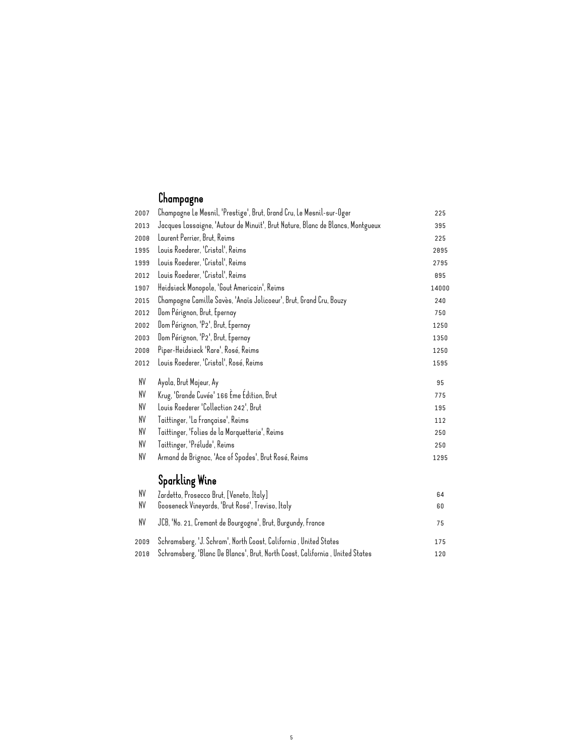## Champagne

| 2007 | Champagne Le Mesnil, 'Prestige', Brut, Grand Cru, Le Mesnil-sur-Oger           | 225   |
|------|--------------------------------------------------------------------------------|-------|
| 2013 | Jacques Lassaigne, 'Autour de Minuit', Brut Nature, Blanc de Blancs, Montgueux | 395   |
| 2008 | Laurent Perrier, Brut, Reims                                                   | 225   |
| 1995 | Louis Roederer, 'Cristal', Reims                                               | 2895  |
| 1999 | Louis Roederer, 'Cristal', Reims                                               | 2795  |
| 2012 | Louis Roederer, 'Cristal', Reims                                               | 895   |
| 1907 | Heidsieck Monopole, 'Gout Americain', Reims                                    | 14000 |
| 2015 | Champagne Camille Savès, 'Anaïs Jolicoeur', Brut, Grand Cru, Bouzy             | 240   |
| 2012 | Dom Pérignon, Brut, Epernay                                                    | 750   |
| 2002 | Dom Pérignon, 'P2', Brut, Epernay                                              | 1250  |
| 2003 | Dom Pérignon, 'P2', Brut, Epernay                                              | 1350  |
| 2008 | Piper-Heidsieck 'Rare', Rosé, Reims                                            | 1250  |
| 2012 | Louis Roederer, 'Cristal', Rosé, Reims                                         | 1595  |
| NV   | Ayala, Brut Majeur, Ay                                                         | 95    |
| NV   | Krug, 'Grande Cuvée' 166 Ème Édition, Brut                                     | 775   |
| NV   | Louis Roederer 'Collection 242', Brut                                          | 195   |
| NV   | Taittinger, 'La Française', Reims                                              | 112   |
| NV   | Taittinger, 'Folies de la Marquetterie', Reims                                 | 250   |
| NV   | Taittinger, 'Prélude', Reims                                                   | 250   |
| NV   | Armand de Brignac, 'Ace of Spades', Brut Rosé, Reims                           | 1295  |
|      | <b>Sparkling Wine</b>                                                          |       |
| NV   | Zardetto, Prosecco Brut, [Veneto, Italy]                                       | 64    |
| NV   | Gooseneck Vineyards, 'Brut Rosé', Treviso, Italy                               | 60    |
| NV   | JCB, 'No. 21, Cremant de Bourgogne', Brut, Burgundy, France                    | 75    |
| 2009 | Schramsberg, 'J. Schram', North Coast, California, United States               | 175   |
| 2010 | Schramsberg, 'Blanc De Blancs', Brut, North Coast, California , United States  | 120   |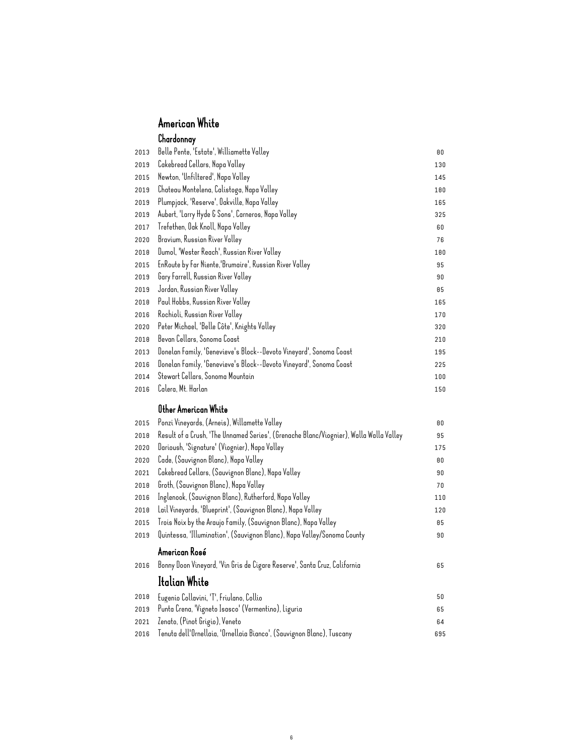#### American White Chardonnay

| 2013 | Belle Pente, 'Estate', Williamette Valley                                                               | 80  |
|------|---------------------------------------------------------------------------------------------------------|-----|
| 2019 | Cakebread Cellars, Napa Valley                                                                          | 130 |
| 2015 | Newton, 'Unfiltered', Napa Valley                                                                       | 145 |
| 2019 | Chateau Montelena, Calistoga, Napa Valley                                                               | 100 |
| 2019 | Plumpjack, 'Reserve', Oakville, Napa Valley                                                             | 165 |
| 2019 | Aubert, 'Larry Hyde & Sons', Carneros, Napa Valley                                                      | 325 |
| 2017 | Trefethen, Oak Knoll, Napa Valley                                                                       | 60  |
| 2020 | Bravium, Russian River Valley                                                                           | 76  |
| 2018 | Dumol, 'Wester Reach', Russian River Valley                                                             | 180 |
| 2015 | EnRoute by Far Niente, 'Brumaire', Russian River Valley                                                 | 95  |
| 2019 | Gary Farrell, Russian River Valley                                                                      | 90  |
| 2019 | Jordan, Russian River Valley                                                                            | 85  |
| 2018 | Paul Hobbs, Russian River Valley                                                                        | 165 |
| 2016 | Rochioli, Russian River Valley                                                                          | 170 |
| 2020 | Peter Michael, 'Belle Côte', Knights Valley                                                             | 320 |
| 2018 | Bevan Cellars, Sonoma Coast                                                                             | 210 |
| 2013 | Donelan Family, 'Genevieve's Block--Devoto Vineyard', Sonoma Coast                                      | 195 |
| 2016 | Donelan Family, 'Genevieve's Block--Devoto Vineyard', Sonoma Coast                                      | 225 |
| 2014 | Stewart Cellars, Sonoma Mountain                                                                        | 100 |
| 2016 | Calera, Mt. Harlan                                                                                      | 150 |
|      | Other American White                                                                                    |     |
|      | Ponzi Vineyards, (Arneis), Willamette Valley                                                            |     |
| 2015 |                                                                                                         | 80  |
| 2018 | Result of a Crush, 'The Unnamed Series', (Grenache Blanc/Viognier), Walla Walla Valley                  | 95  |
| 2020 | Darioush, 'Signature' (Viognier), Napa Valley                                                           | 175 |
| 2020 | Cade, (Sauvignon Blanc), Napa Valley                                                                    | 80  |
| 2021 | Cakebread Cellars, (Sauvignon Blanc), Napa Valley                                                       | 90  |
| 2018 | Groth, (Sauvignon Blanc), Napa Valley                                                                   | 70  |
| 2016 | Inglenook, (Sauvignon Blanc), Rutherford, Napa Valley                                                   | 110 |
| 2018 | Lail Vineyards, 'Blueprint', (Sauvignon Blanc), Napa Valley                                             | 120 |
| 2015 |                                                                                                         |     |
|      | Trois Noix by the Araujo Family, (Sauvignon Blanc), Napa Valley                                         | 85  |
| 2019 | Quintessa, 'Illumination', (Sauvignon Blanc), Napa Valley/Sonoma County                                 | 90  |
|      | American Rosé                                                                                           |     |
| 2016 | Bonny Doon Vineyard, 'Vin Gris de Cigare Reserve', Santa Cruz, California                               | 65  |
|      | Italian White                                                                                           |     |
| 2018 |                                                                                                         | 50  |
| 2019 | Eugenio Collavini, 'T', Friulano, Collio                                                                | 65  |
| 2021 | Punta Crena, 'Vigneto Isasco' (Vermentino), Liguria                                                     | 64  |
| 2016 | Zenato, (Pinot Grigio), Veneto<br>Tenuta dell'Ornellaia, 'Ornellaia Bianco', (Sauvignon Blanc), Tuscany | 695 |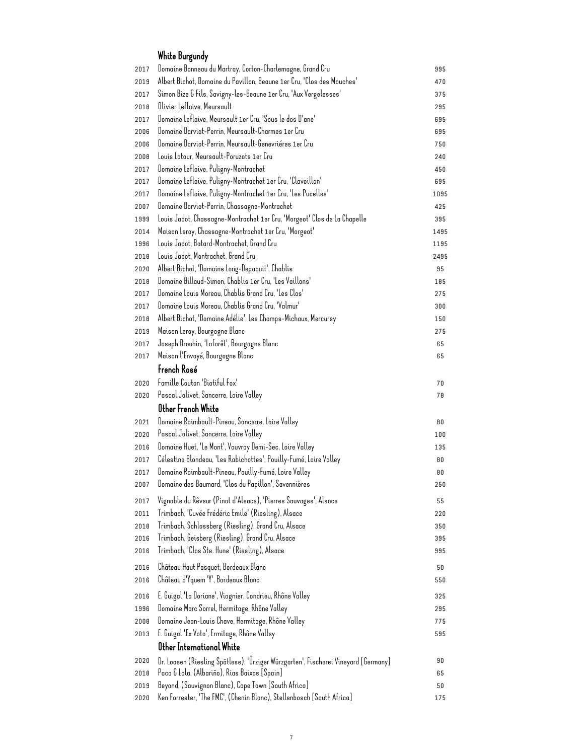## White Burgundy

| 2017         | Domaine Bonneau du Martray, Corton-Charlemagne, Grand Cru                          | 995        |
|--------------|------------------------------------------------------------------------------------|------------|
| 2019         | Albert Bichot, Domaine du Pavillon, Beaune 1er Cru, 'Clos des Mouches'             | 470        |
| 2017         | Simon Bize & Fils, Savigny-les-Beaune 1er Cru, 'Aux Vergelesses'                   | 375        |
| 2018         | Olivier Leflaive, Meursault                                                        | 295        |
| 2017         | Domaine Leflaive, Meursault 1er Cru, 'Sous le dos D'ane'                           | 695        |
| 2006         | Domaine Darviot-Perrin, Meursault-Charmes 1er Cru                                  | 695        |
| 2006         | Domaine Darviot-Perrin, Meursault-Genevriéres 1er Cru                              | 750        |
| 2008         | Louis Latour, Meursault-Poruzots 1er Cru                                           | 240        |
| 2017         | Domaine Leflaive, Puligny-Montrachet                                               | 450        |
| 2017         | Domaine Leflaive, Puligny-Montrachet 1er Cru, 'Clavoillon'                         | 695        |
| 2017         | Domaine Leflaive, Puligny-Montrachet 1er Cru, 'Les Pucelles'                       | 1095       |
| 2007         | Domaine Darviot-Perrin, Chassagne-Montrachet                                       | 425        |
| 1999         | Louis Jadot, Chassagne-Montrachet 1er Cru, 'Morgeot' Clos de La Chapelle           | 395        |
| 2014         | Maison Leroy, Chassagne-Montrachet 1er Cru, 'Morgeot'                              | 1495       |
| 1996         | Louis Jadot, Batard-Montrachet, Grand Cru                                          | 1195       |
| 2018         | Louis Jadot, Montrachet, Grand Cru                                                 | 2495       |
| 2020         | Albert Bichot, 'Domaine Long-Depaquit', Chablis                                    | 95         |
| 2018         | Domaine Billaud-Simon, Chablis 1er Cru, 'Les Vaillons'                             | 185        |
| 2017         | Domaine Louis Moreau, Chablis Grand Cru, 'Les Clos'                                | 275        |
|              | Domaine Louis Moreau, Chablis Grand Cru, 'Valmur'                                  |            |
| 2017         |                                                                                    | 300        |
| 2018         | Albert Bichot, 'Domaine Adélie', Les Champs-Michaux, Mercurey                      | 150        |
| 2019         | Maison Leroy, Bourgogne Blanc                                                      | 275        |
| 2017         | Joseph Drouhin, 'Laforêt', Bourgogne Blanc                                         | 65         |
| 2017         | Maison l'Envoyé, Bourgogne Blanc                                                   | 65         |
|              | French Rosé                                                                        |            |
| 2020         | Famille Couton 'Biotiful Fox'                                                      | 70         |
| 2020         | Pascal Jolivet, Sancerre, Loire Valley                                             | 78         |
|              | Other French White                                                                 |            |
| 2021         | Domaine Raimbault-Pineau, Sancerre, Loire Valley                                   | 80         |
| 2020         | Pascal Jolivet, Sancerre, Loire Valley                                             | 100        |
| 2016         | Domaine Huet, 'Le Mont', Vouvray Demi-Sec, Loire Valley                            | 135        |
| 2017         | Célestine Blondeau, 'Les Rabichottes', Pouilly-Fumé, Loire Valley                  | 80         |
| 2017         | Domaine Raimbault-Pineau, Pouilly-Fumé, Loire Valley                               | 80         |
| 2007         | Domaine des Baumard, 'Clos du Papillon', Savennières                               | 250        |
| 2017         | Vignoble du Rêveur (Pinot d'Alsace), 'Pierres Sauvages', Alsace                    | 55         |
| 2011         | Trimbach, 'Cuvée Frédéric Emile' (Riesling), Alsace                                | 220        |
|              | Trimbach, Schlossberg (Riesling), Grand Cru, Alsace                                |            |
| 2018<br>2016 | Trimbach, Geisberg (Riesling), Grand Cru, Alsace                                   | 350<br>395 |
| 2016         | Trimbach, 'Clos Ste. Hune' (Riesling), Alsace                                      | 995        |
|              |                                                                                    |            |
| 2016         | Château Haut Pasquet, Bordeaux Blanc                                               | 50         |
| 2016         | Château d'Yquem 'Y', Bordeaux Blanc                                                | 550        |
| 2016         | E. Guigal 'La Doriane', Viognier, Condrieu, Rhône Valley                           | 325        |
| 1996         | Domaine Marc Sorrel, Hermitage, Rhône Valley                                       | 295        |
| 2008         | Domaine Jean-Louis Chave, Hermitage, Rhône Valley                                  | 775        |
| 2013         | E. Guigal 'Ex Voto', Ermitage, Rhône Valley                                        | 595        |
|              | Other International White                                                          |            |
| 2020         | Dr. Loosen (Riesling Spätlese), 'Ürziger Würzgarten', Fischerei Vineyard [Germany] | 90         |
| 2018         | Paco & Lola, (Albariño), Rias Baixas [Spain]                                       | 65         |
| 2019         | Beyond, (Sauvignon Blanc), Cape Town [South Africa]                                | 50         |
| 2020         | Ken Forrester, 'The FMC', (Chenin Blanc), Stellenbosch [South Africa]              | 175        |
|              |                                                                                    |            |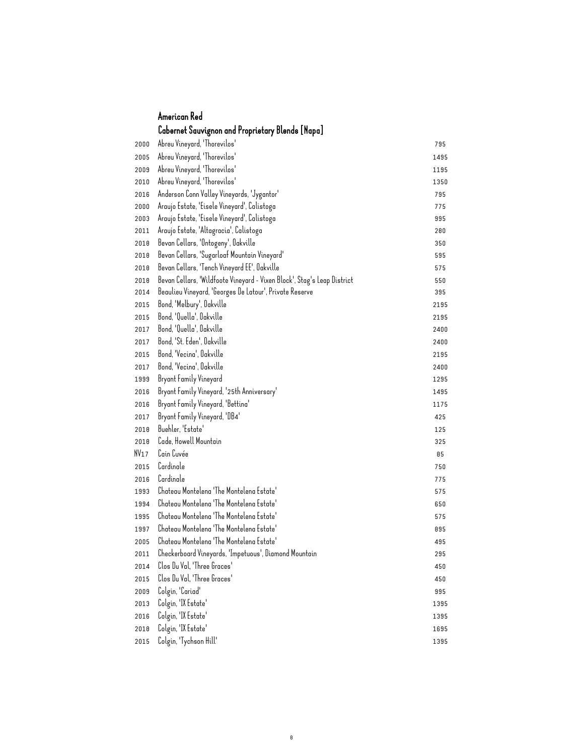#### American Red Cabernet Sauvignon and Proprietary Blends [Napa]

| 2000 | Abreu Vineyard, 'Thorevilos'                                            | 795  |
|------|-------------------------------------------------------------------------|------|
| 2005 | Abreu Vineyard, 'Thorevilos'                                            | 1495 |
| 2009 | Abreu Vineyard, 'Thorevilos'                                            | 1195 |
| 2010 | Abreu Vineyard, 'Thorevilos'                                            | 1350 |
| 2016 | Anderson Conn Valley Vineyards, 'Jygantor'                              | 795  |
| 2000 | Araujo Estate, 'Eisele Vineyard', Calistoga                             | 775  |
| 2003 | Araujo Estate, 'Eisele Vineyard', Calistoga                             | 995  |
| 2011 | Araujo Estate, 'Altagracia', Calistoga                                  | 200  |
| 2018 | Bevan Cellars, 'Ontogeny', Oakville                                     | 350  |
| 2010 | Bevan Cellars, 'Sugarloaf Mountain Vineyard'                            | 595  |
| 2018 | Bevan Cellars, 'Tench Vineyard EE', Oakville                            | 575  |
| 2018 | Bevan Cellars, 'Wildfoote Vineyard - Vixen Block', Stag's Leap District | 550  |
| 2014 | Beaulieu Vineyard, 'Georges De Latour', Private Reserve                 | 395  |
| 2015 | Bond, 'Melbury', Oakville                                               | 2195 |
| 2015 | Bond, 'Quella', Oakville                                                | 2195 |
| 2017 | Bond, 'Quella', Oakville                                                | 2400 |
| 2017 | Bond, 'St. Eden', Oakville                                              | 2400 |
| 2015 | Bond, 'Vecina', Oakville                                                | 2195 |
| 2017 | Bond, 'Vecina', Oakville                                                | 2400 |
| 1999 | Bryant Family Vineyard                                                  | 1295 |
| 2016 | Bryant Family Vineyard, '25th Anniversary'                              | 1495 |
| 2016 | Bryant Family Vineyard, 'Bettina'                                       | 1175 |
| 2017 | Bryant Family Vineyard, 'DB4'                                           | 425  |
| 2018 | Buehler, 'Estate'                                                       | 125  |
| 2018 | Cade, Howell Mountain                                                   | 325  |
| NV17 | Cain Cuvée                                                              | 85   |
| 2015 | Cardinale                                                               | 750  |
| 2016 | Cardinale                                                               | 775  |
| 1993 | Chateau Montelena 'The Montelena Estate'                                | 575  |
| 1994 | Chateau Montelena 'The Montelena Estate'                                | 650  |
| 1995 | Chateau Montelena 'The Montelena Estate'                                | 575  |
| 1997 | Chateau Montelena 'The Montelena Estate'                                | 895  |
| 2005 | Chateau Montelena 'The Montelena Estate'                                | 495  |
| 2011 | Checkerboard Vineyards, 'Impetuous', Diamond Mountain                   | 295  |
| 2014 | Clos Du Val, 'Three Graces'                                             | 450  |
| 2015 | Clos Du Val, 'Three Graces'                                             | 450  |
| 2009 | Colgin, 'Cariad'                                                        | 995  |
| 2013 | Colgin, 'IX Estate'                                                     | 1395 |
| 2016 | Colgin, 'IX Estate'                                                     | 1395 |
| 2018 | Colgin, 'IX Estate'                                                     | 1695 |
| 2015 | Colgin, 'Tychson Hill'                                                  | 1395 |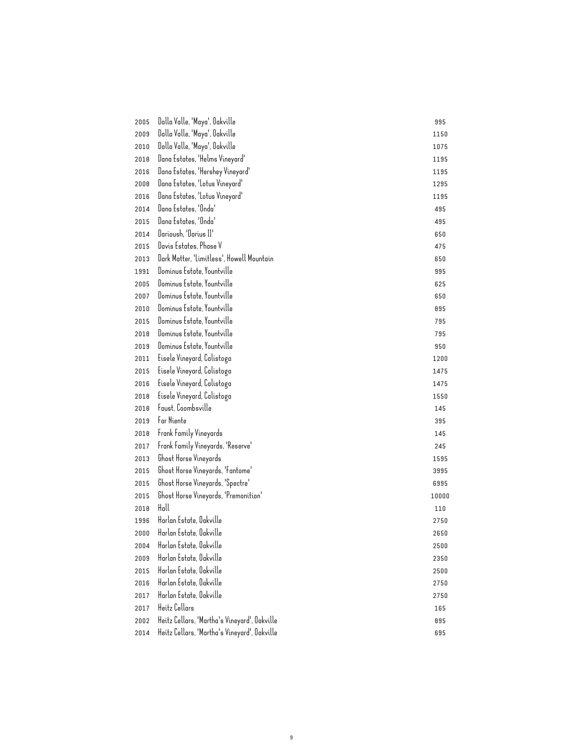| 2005 | Dalla Valle, 'Maya', Oakville                | 995   |
|------|----------------------------------------------|-------|
| 2009 | Dalla Valle, 'Maya', Oakville                | 1150  |
| 2010 | Dalla Valle, 'Maya', Oakville                | 1075  |
| 2010 | Dana Estates, 'Helms Vineyard'               | 1195  |
| 2016 | Dana Estates, 'Hershey Vineyard'             | 1195  |
| 2008 | Dana Estates, 'Lotus Vineyard'               | 1295  |
| 2016 | Dana Estates, 'Lotus Vineyard'               | 1195  |
| 2014 | Dana Estates, 'Onda'                         | 495   |
| 2015 | Dana Estates, 'Onda'                         | 495   |
| 2014 | Darioush, 'Darius II'                        | 650   |
| 2015 | Davis Estates, Phase V                       | 475   |
| 2013 | Dark Matter, 'Limitless', Howell Mountain    | 650   |
| 1991 | Dominus Estate, Yountville                   | 995   |
| 2005 | Dominus Estate, Yountville                   | 625   |
| 2007 | Dominus Estate, Yountville                   | 650   |
| 2010 | Dominus Estate, Yountville                   | 895   |
| 2015 | Dominus Estate, Yountville                   | 795   |
| 2018 | Dominus Estate, Yountville                   | 795   |
| 2019 | Dominus Estate, Yountville                   | 950   |
| 2011 | Eisele Vineyard, Calistoga                   | 1200  |
| 2015 | Eisele Vineyard, Calistoga                   | 1475  |
| 2016 | Eisele Vineyard, Calistoga                   | 1475  |
| 2010 | Eisele Vineyard, Calistoga                   | 1550  |
| 2010 | Faust, Coombsville                           | 145   |
| 2019 | Far Niente                                   | 395   |
| 2010 | Frank Family Vineyards                       | 145   |
| 2017 | Frank Family Vineyards, 'Reserve'            | 245   |
| 2013 | Ghost Horse Vineyards                        | 1595  |
| 2015 | Ghost Horse Vineyards, 'Fantome'             | 3995  |
| 2015 | Ghost Horse Vineyards, 'Spectre'             | 6995  |
| 2015 | Ghost Horse Vineyards, 'Premonition'         | 10000 |
| 2018 | Hall                                         | 110   |
| 1996 | Harlan Estate, Oakville                      | 2750  |
| 2000 | Harlan Estate, Oakville                      | 2650  |
| 2004 | Harlan Estate, Oakville                      | 2500  |
| 2009 | Harlan Estate, Oakville                      | 2350  |
| 2015 | Harlan Estate, Oakville                      | 2500  |
| 2016 | Harlan Estate, Oakville                      | 2750  |
| 2017 | Harlan Estate, Oakville                      | 2750  |
| 2017 | Heitz Cellars                                | 165   |
| 2002 | Heitz Cellars, 'Martha's Vineyard', Oakville | 895   |
| 2014 | Heitz Cellars, 'Martha's Vineyard', Oakville | 695   |
|      |                                              |       |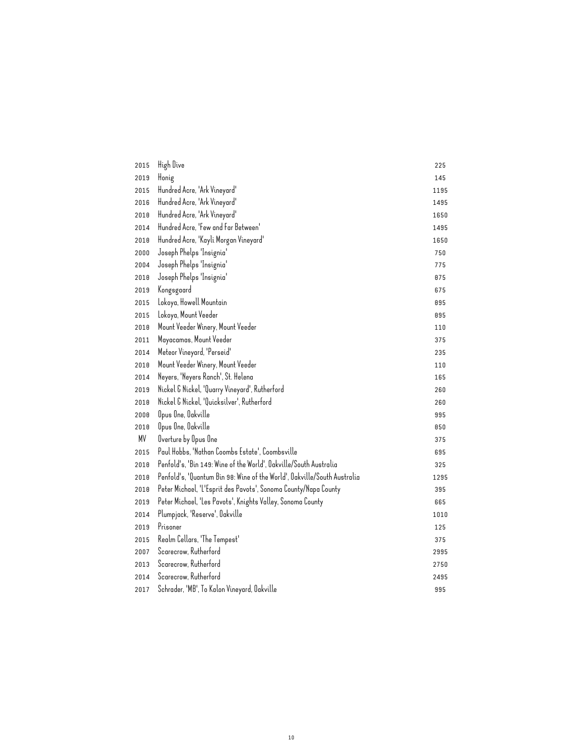| 2015 | High Dive                                                                | 225  |
|------|--------------------------------------------------------------------------|------|
| 2019 | Honig                                                                    | 145  |
| 2015 | Hundred Acre, 'Ark Vineyard'                                             | 1195 |
| 2016 | Hundred Acre, 'Ark Vineyard'                                             | 1495 |
| 2018 | Hundred Acre, 'Ark Vineyard'                                             | 1650 |
| 2014 | Hundred Acre, 'Few and Far Between'                                      | 1495 |
| 2018 | Hundred Acre, 'Kayli Morgan Vineyard'                                    | 1650 |
| 2000 | Joseph Phelps 'Insignia'                                                 | 750  |
| 2004 | Joseph Phelps 'Insignia'                                                 | 775  |
| 2018 | Joseph Phelps 'Insignia'                                                 | 875  |
| 2019 | Kongsgaard                                                               | 675  |
| 2015 | Lokoya, Howell Mountain                                                  | 895  |
| 2015 | Lokoya, Mount Veeder                                                     | 895  |
| 2018 | Mount Veeder Winery, Mount Veeder                                        | 110  |
| 2011 | Mayacamas, Mount Veeder                                                  | 375  |
| 2014 | Meteor Vineyard, 'Perseid'                                               | 235  |
| 2018 | Mount Veeder Winery, Mount Veeder                                        | 110  |
| 2014 | Neyers, 'Neyers Ranch', St. Helena                                       | 165  |
| 2019 | Nickel & Nickel, 'Quarry Vineyard', Rutherford                           | 260  |
| 2018 | Nickel & Nickel, 'Quicksilver', Rutherford                               | 260  |
| 2008 | Opus One, Oakville                                                       | 995  |
| 2018 | Opus One, Oakville                                                       | 850  |
| ΜV   | Overture by Opus One                                                     | 375  |
| 2015 | Paul Hobbs, 'Nathan Coombs Estate', Coombsville                          | 695  |
| 2018 | Penfold's, 'Bin 149: Wine of the World', Oakville/South Australia        | 325  |
| 2018 | Penfold's, 'Quantum Bin 98: Wine of the World', Oakville/South Australia | 1295 |
| 2018 | Peter Michael, 'L'Esprit des Pavots', Sonoma County/Napa County          | 395  |
| 2019 | Peter Michael, 'Les Pavots', Knights Valley, Sonoma County               | 665  |
| 2014 | Plumpjack, 'Reserve', Oakville                                           | 1010 |
| 2019 | Prisoner                                                                 | 125  |
| 2015 | Realm Cellars, 'The Tempest'                                             | 375  |
| 2007 | Scarecrow, Rutherford                                                    | 2995 |
| 2013 | Scarecrow, Rutherford                                                    | 2750 |
| 2014 | Scarecrow, Rutherford                                                    | 2495 |
| 2017 | Schrader, 'MB', To Kalon Vineyard, Oakville                              | 995  |
|      |                                                                          |      |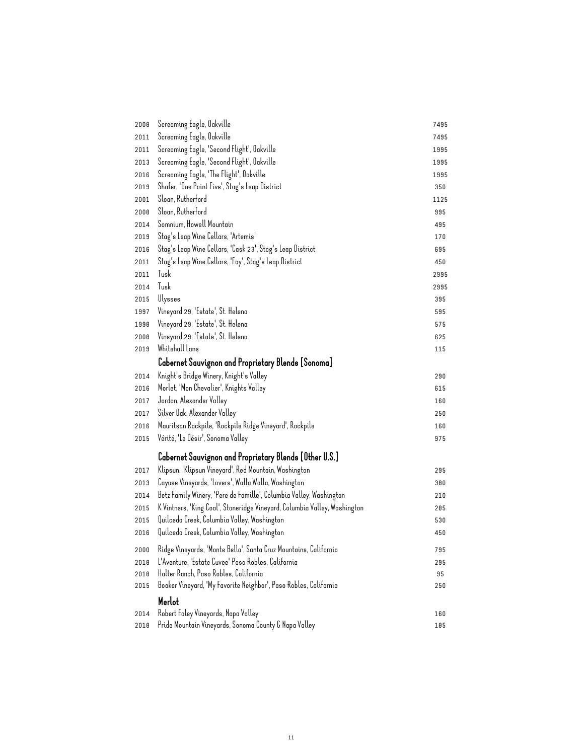| 2008 | Screaming Eagle, Oakville                                                                                                                       | 7495 |
|------|-------------------------------------------------------------------------------------------------------------------------------------------------|------|
| 2011 | Screaming Eagle, Oakville                                                                                                                       | 7495 |
| 2011 | Screaming Eagle, 'Second Flight', Oakville                                                                                                      | 1995 |
| 2013 | Screaming Eagle, 'Second Flight', Oakville                                                                                                      | 1995 |
| 2016 | Screaming Eagle, 'The Flight', Oakville                                                                                                         | 1995 |
| 2019 | Shafer, 'One Point Five', Stag's Leap District                                                                                                  | 350  |
| 2001 | Sloan, Rutherford                                                                                                                               | 1125 |
| 2008 | Sloan, Rutherford                                                                                                                               | 995  |
| 2014 | Somnium, Howell Mountain                                                                                                                        | 495  |
| 2019 | Stag's Leap Wine Cellars, 'Artemis'                                                                                                             | 170  |
| 2016 | Stag's Leap Wine Cellars, 'Cask 23', Stag's Leap District                                                                                       | 695  |
| 2011 | Stag's Leap Wine Cellars, 'Fay', Stag's Leap District                                                                                           | 450  |
| 2011 | Tusk                                                                                                                                            | 2995 |
| 2014 | Tusk                                                                                                                                            | 2995 |
| 2015 | Ulysses                                                                                                                                         | 395  |
| 1997 | Vineyard 29, 'Estate', St. Helena                                                                                                               | 595  |
| 1998 | Vineyard 29, 'Estate', St. Helena                                                                                                               | 575  |
| 2008 | Vineyard 29, 'Estate', St. Helena                                                                                                               | 625  |
| 2019 | Whitehall Lane                                                                                                                                  | 115  |
|      | Cabernet Sauvignon and Proprietary Blends [Sonoma]                                                                                              |      |
| 2014 | Knight's Bridge Winery, Knight's Valley                                                                                                         | 290  |
| 2016 | Morlet, 'Mon Chevalier', Knights Valley                                                                                                         | 615  |
| 2017 | Jordan, Alexander Valley                                                                                                                        | 160  |
| 2017 | Silver Oak, Alexander Valley                                                                                                                    | 250  |
| 2016 | Mauritson Rockpile, 'Rockpile Ridge Vineyard', Rockpile                                                                                         | 160  |
| 2015 | Vérité, 'Le Désir', Sonoma Valley                                                                                                               | 975  |
|      | Cabernet Sauvignon and Proprietary Blends [Other U.S.]                                                                                          |      |
|      | Klipsun, 'Klipsun Vineyard', Red Mountain, Washington                                                                                           |      |
| 2017 | Cayuse Vineyards, 'Lovers', Walla Walla, Washington                                                                                             | 295  |
| 2013 |                                                                                                                                                 | 380  |
| 2014 | Betz Family Winery, 'Pere de Famille', Columbia Valley, Washington<br>K Vintners, 'King Coal', Stoneridge Vineyard, Columbia Valley, Washington | 210  |
| 2015 | Quilceda Creek, Columbia Valley, Washington                                                                                                     | 285  |
| 2015 |                                                                                                                                                 | 530  |
| 2016 | Quilceda Creek, Columbia Valley, Washington                                                                                                     | 450  |
| 2000 | Ridge Vineyards, 'Monte Bello', Santa Cruz Mountains, California                                                                                | 795  |
| 2010 | L'Aventure, 'Estate Cuvee' Paso Robles, California                                                                                              | 295  |
| 2018 | Halter Ranch, Paso Robles, California                                                                                                           | 95   |
| 2015 | Booker Vineyard, 'My Favorite Neighbor', Paso Robles, California                                                                                | 250  |
|      | Merlot                                                                                                                                          |      |
| 2014 | Robert Foley Vineyards, Napa Valley                                                                                                             | 160  |
| 2010 | Pride Mountain Vineyards, Sonoma County & Napa Valley                                                                                           | 105  |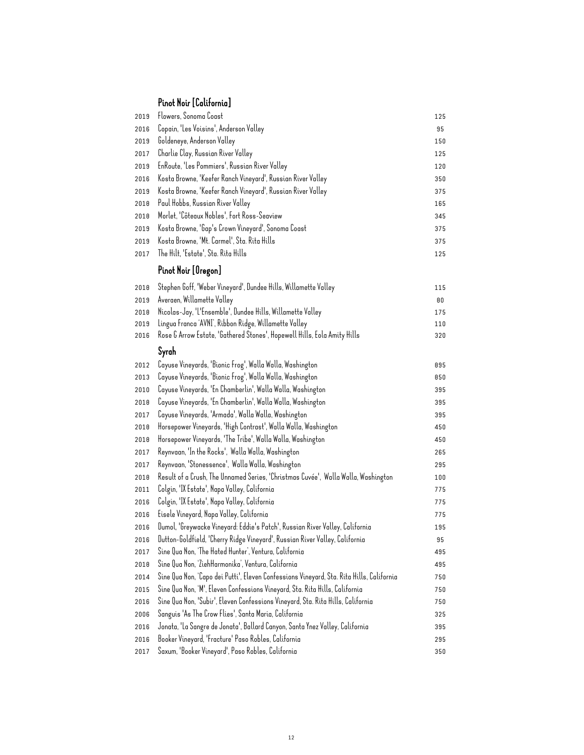# Pinot Noir [California]

| 2019 | Flowers, Sonoma Coast                                                                    | 125 |
|------|------------------------------------------------------------------------------------------|-----|
| 2016 | Copain, 'Les Voisins', Anderson Valley                                                   | 95  |
| 2019 | Goldeneye, Anderson Valley                                                               | 150 |
| 2017 | Charlie Clay, Russian River Valley                                                       | 125 |
| 2019 | EnRoute, 'Les Pommiers', Russian River Valley                                            | 120 |
| 2016 | Kosta Browne, 'Keefer Ranch Vineyard', Russian River Valley                              | 350 |
| 2019 | Kosta Browne, 'Keefer Ranch Vineyard', Russian River Valley                              | 375 |
| 2018 | Paul Hobbs, Russian River Valley                                                         | 165 |
| 2018 | Morlet, 'Côteaux Nobles', Fort Ross-Seaview                                              | 345 |
| 2019 | Kosta Browne, 'Gap's Crown Vineyard', Sonoma Coast                                       | 375 |
| 2019 | Kosta Browne, 'Mt. Carmel', Sta. Rita Hills                                              | 375 |
| 2017 | The Hilt, 'Estate', Sta. Rita Hills                                                      | 125 |
|      | Pinot Noir [Oregon]                                                                      |     |
| 2018 | Stephen Goff, 'Weber Vineyard', Dundee Hills, Willamette Valley                          | 115 |
| 2019 | Averaen, Willamette Valley                                                               | 80  |
| 2018 | Nicolas-Jay, 'L'Ensemble', Dundee Hills, Willamette Valley                               | 175 |
| 2019 | Lingua Franca 'AVNI', Ribbon Ridge, Willamette Valley                                    | 110 |
| 2016 | Rose & Arrow Estate, 'Gathered Stones', Hopewell Hills, Eola Amity Hills                 | 320 |
|      | Syrah                                                                                    |     |
| 2012 | Cayuse Vineyards, 'Bionic Frog', Walla Walla, Washington                                 | 895 |
| 2013 | Cayuse Vineyards, 'Bionic Frog', Walla Walla, Washington                                 | 850 |
| 2010 | Cayuse Vineyards, 'En Chamberlin', Walla Walla, Washington                               | 395 |
| 2018 | Cayuse Vineyards, 'En Chamberlin', Walla Walla, Washington                               | 395 |
| 2017 | Cayuse Vineyards, 'Armada', Walla Walla, Washington                                      | 395 |
| 2018 | Horsepower Vineyards, 'High Contrast', Walla Walla, Washington                           | 450 |
| 2018 | Horsepower Vineyards, 'The Tribe', Walla Walla, Washington                               | 450 |
| 2017 | Reynvaan, 'In the Rocks', Walla Walla, Washington                                        | 265 |
| 2017 | Reynvaan, 'Stonessence', Walla Walla, Washington                                         | 295 |
| 2018 | Result of a Crush, The Unnamed Series, 'Christmas Cuvée', Walla Walla, Washington        | 100 |
| 2011 | Colgin, 'IX Estate', Napa Valley, California                                             | 775 |
| 2016 | Colgin, 'IX Estate', Napa Valley, California                                             | 775 |
| 2016 | Eisele Vineyard, Napa Valley, California                                                 | 775 |
| 2016 | Dumol, 'Greywacke Vineyard: Eddie's Patch', Russian River Valley, California             | 195 |
| 2016 | Dutton-Goldfield, 'Cherry Ridge Vineyard', Russian River Valley, California              | 95  |
| 2017 | Sine Qua Non, 'The Hated Hunter', Ventura, California                                    | 495 |
| 2018 | Sine Qua Non, 'ZiehHarmonika', Ventura, California                                       | 495 |
| 2014 | Sine Qua Non, 'Capo dei Putti', Eleven Confessions Vineyard, Sta. Rita Hills, California | 750 |
| 2015 | Sine Qua Non, 'M', Eleven Confessions Vineyard, Sta. Rita Hills, California              | 750 |
| 2016 | Sine Qua Non, 'Subir', Eleven Confessions Vineyard, Sta. Rita Hills, California          | 750 |
| 2006 | Sanguis 'As The Crow Flies', Santa Maria, California                                     | 325 |
| 2016 | Jonata, 'La Sangre de Jonata', Ballard Canyon, Santa Ynez Valley, California             | 395 |
| 2016 | Booker Vineyard, 'Fracture' Paso Robles, California                                      | 295 |
| 2017 | Saxum, 'Booker Vineyard', Paso Robles, California                                        | 350 |
|      |                                                                                          |     |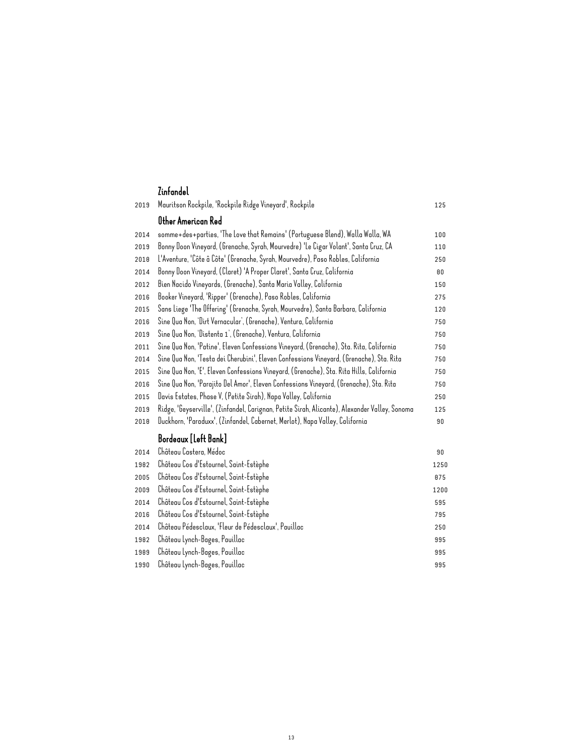| 2019 | Mauritson Rockpile, 'Rockpile Ridge Vineyard', Rockpile                                       | 125  |
|------|-----------------------------------------------------------------------------------------------|------|
|      | Other American Red                                                                            |      |
| 2014 | somme+des+parties, 'The Love that Remains' (Portuguese Blend), Walla Walla, WA                | 100  |
| 2019 | Bonny Doon Vineyard, (Grenache, Syrah, Mourvedre) 'Le Cigar Volant', Santa Cruz, CA           | 110  |
| 2010 | L'Aventure, 'Côte â Côte' (Grenache, Syrah, Mourvedre), Paso Robles, California               | 250  |
| 2014 | Bonny Doon Vineyard, (Claret) 'A Proper Claret', Santa Cruz, California                       | 80   |
| 2012 | Bien Nacido Vineyards, (Grenache), Santa Maria Valley, California                             | 150  |
| 2016 | Booker Vineyard, 'Ripper' (Grenache), Paso Robles, California                                 | 275  |
| 2015 | Sans Liege 'The Offering' (Grenache, Syrah, Mourvedre), Santa Barbara, California             | 120  |
| 2016 | Sine Qua Non, 'Dirt Vernacular', (Grenache), Ventura, California                              | 750  |
| 2019 | Sine Qua Non, 'Distenta 1', (Grenache), Ventura, California                                   | 750  |
| 2011 | Sine Qua Non, 'Patine', Eleven Confessions Vineyard, (Grenache), Sta. Rita, California        | 750  |
| 2014 | Sine Qua Non, 'Testa dei Cherubini', Eleven Confessions Vineyard, (Grenache), Sta. Rita       | 750  |
| 2015 | Sine Qua Non, 'E', Eleven Confessions Vineyard, (Grenache), Sta. Rita Hills, California       | 750  |
| 2016 | Sine Qua Non, 'Parajito Del Amor', Eleven Confessions Vineyard, (Grenache), Sta. Rita         |      |
| 2015 | Davis Estates, Phase V, (Petite Sirah), Napa Valley, California                               | 250  |
| 2019 | Ridge, 'Geyserville', (Zinfandel, Carignan, Petite Sirah, Alicante), Alexander Valley, Sonoma | 125  |
| 2010 | Duckhorn, 'Paraduxx', (Zinfandel, Cabernet, Merlot), Napa Valley, California                  | 90   |
|      | Bordeaux [Left Bank]                                                                          |      |
| 2014 | Château Castera, Médoc                                                                        | 90   |
| 1982 | Château Cos d'Estournel, Saint-Estèphe                                                        | 1250 |
| 2005 | Château Cos d'Estournel, Saint-Estèphe                                                        | 875  |
| 2009 | Château Cos d'Estournel, Saint-Estèphe                                                        | 1200 |
| 2014 | Château Cos d'Estournel, Saint-Estèphe                                                        | 595  |
| 2016 | Château Cos d'Estournel, Saint-Estèphe                                                        | 795  |
| 2014 | Château Pédesclaux, 'Fleur de Pédesclaux', Pauillac                                           | 250  |
| 1982 | Château Lynch-Bages, Pauillac                                                                 | 995  |
| 1989 | Château Lynch-Bages, Pauillac                                                                 | 995  |
| 1990 | Château Lynch-Bages, Pauillac                                                                 | 995  |
|      |                                                                                               |      |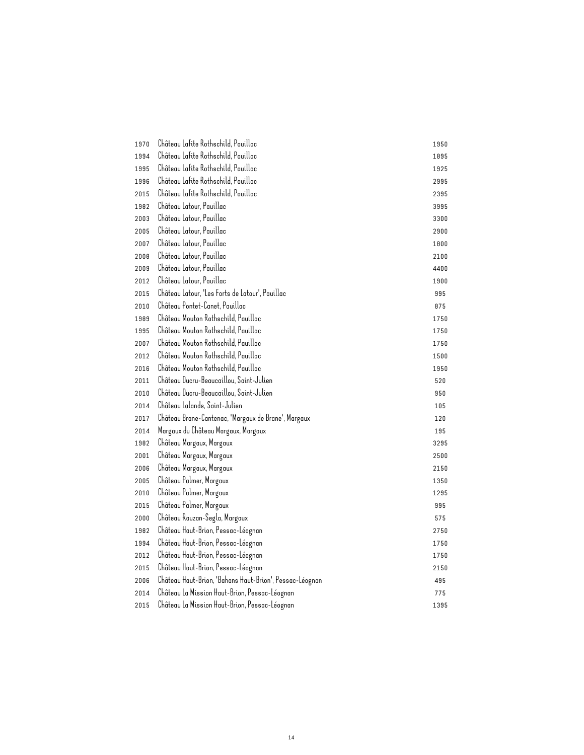| 1970 | Château Lafite Rothschild, Pauillac                     | 1950 |
|------|---------------------------------------------------------|------|
| 1994 | Château Lafite Rothschild, Pauillac                     | 1895 |
| 1995 | Château Lafite Rothschild, Pauillac                     | 1925 |
| 1996 | Château Lafite Rothschild, Pauillac                     | 2995 |
| 2015 | Château Lafite Rothschild, Pauillac                     | 2395 |
| 1982 | Château Latour, Pauillac                                | 3995 |
| 2003 | Château Latour, Pauillac                                | 3300 |
| 2005 | Château Latour, Pauillac                                | 2900 |
| 2007 | Château Latour, Pauillac                                | 1800 |
| 2008 | Château Latour, Pauillac                                | 2100 |
| 2009 | Château Latour, Pauillac                                | 4400 |
| 2012 | Château Latour, Pauillac                                | 1900 |
| 2015 | Château Latour, 'Les Forts de Latour', Pauillac         | 995  |
| 2010 | Château Pontet-Canet, Pauillac                          | 875  |
| 1989 | Château Mouton Rothschild. Pauillac                     | 1750 |
| 1995 | Château Mouton Rothschild, Pauillac                     | 1750 |
| 2007 | Château Mouton Rothschild, Pauillac                     | 1750 |
| 2012 | Château Mouton Rothschild, Pauillac                     | 1500 |
| 2016 | Château Mouton Rothschild, Pauillac                     | 1950 |
| 2011 | Château Ducru-Beaucaillou, Saint-Julien                 | 520  |
| 2010 | Château Ducru-Beaucaillou, Saint-Julien                 | 950  |
| 2014 | Château Lalande, Saint-Julien                           | 105  |
| 2017 | Château Brane-Cantenac, 'Margaux de Brane', Margaux     | 120  |
| 2014 | Margaux du Château Margaux, Margaux                     | 195  |
| 1982 | Château Margaux, Margaux                                | 3295 |
| 2001 | Château Margaux, Margaux                                | 2500 |
| 2006 | Château Margaux, Margaux                                | 2150 |
| 2005 | Château Palmer, Margaux                                 | 1350 |
| 2010 | Château Palmer, Margaux                                 | 1295 |
| 2015 | Château Palmer, Margaux                                 | 995  |
| 2000 | Château Rauzan-Segla, Margaux                           | 575  |
| 1982 | Château Haut-Brion, Pessac-Léognan                      | 2750 |
| 1994 | Château Haut-Brion, Pessac-Léognan                      | 1750 |
| 2012 | Château Haut-Brion, Pessac-Léognan                      | 1750 |
| 2015 | Château Haut-Brion, Pessac-Léognan                      | 2150 |
| 2006 | Château Haut-Brion, 'Bahans Haut-Brion', Pessac-Léognan | 495  |
| 2014 | Château La Mission Haut-Brion, Pessac-Léognan           | 775  |
| 2015 | Château La Mission Haut-Brion, Pessac-Léognan           | 1395 |
|      |                                                         |      |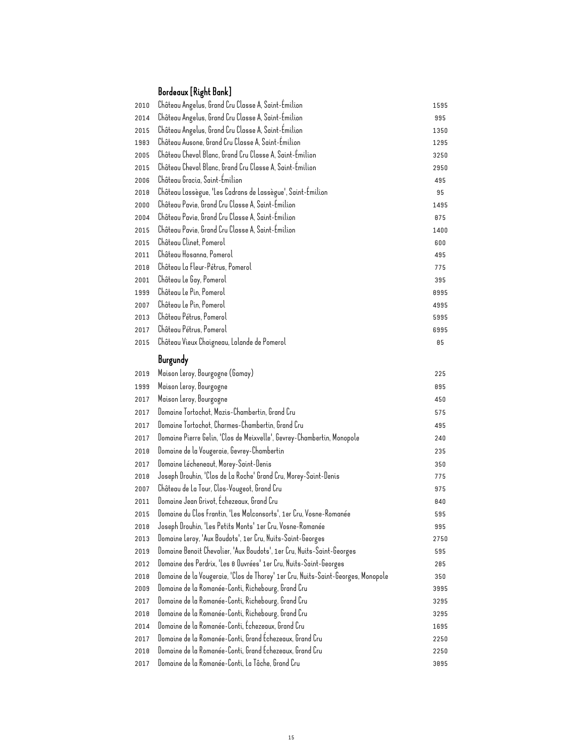### Bordeaux [Right Bank]

| 2010 | Château Angelus, Grand Cru Classe A, Saint-Emilion                               | 1595 |
|------|----------------------------------------------------------------------------------|------|
| 2014 | Château Angelus, Grand Cru Classe A, Saint-Emilion                               | 995  |
| 2015 | Château Angelus, Grand Cru Classe A, Saint-Emilion                               | 1350 |
| 1983 | Château Ausone, Grand Cru Classe A, Saint-Émilion                                | 1295 |
| 2005 | Château Cheval Blanc, Grand Cru Classe A, Saint-Émilion                          | 3250 |
| 2015 | Château Cheval Blanc, Grand Cru Classe A, Saint-Emilion                          | 2950 |
| 2006 | Château Gracia, Saint-Emilion                                                    | 495  |
| 2018 | Château Lassègue, 'Les Cadrans de Lassègue', Saint-Emilion                       | 95   |
| 2000 | Château Pavie, Grand Cru Classe A, Saint-Emilion                                 | 1495 |
| 2004 | Château Pavie, Grand Cru Classe A, Saint-Emilion                                 | 875  |
| 2015 | Château Pavie, Grand Cru Classe A, Saint-Emilion                                 | 1400 |
| 2015 | Château Clinet, Pomerol                                                          | 600  |
| 2011 | Château Hosanna, Pomerol                                                         | 495  |
| 2018 | Château La Fleur-Pétrus, Pomerol                                                 | 775  |
| 2001 | Château Le Gay, Pomerol                                                          | 395  |
| 1999 | Château Le Pin, Pomerol                                                          | 8995 |
| 2007 | Château Le Pin, Pomerol                                                          | 4995 |
| 2013 | Château Pétrus, Pomerol                                                          | 5995 |
| 2017 | Château Pétrus, Pomerol                                                          | 6995 |
| 2015 | Château Vieux Chaigneau, Lalande de Pomerol                                      | 85   |
|      | Burgundy                                                                         |      |
| 2019 | Maison Leroy, Bourgogne (Gamay)                                                  | 225  |
| 1999 | Maison Leroy, Bourgogne                                                          | 895  |
| 2017 | Maison Leroy, Bourgogne                                                          | 450  |
| 2017 | Domaine Tortochot, Mazis-Chambertin, Grand Cru                                   | 575  |
| 2017 | Domaine Tortochot, Charmes-Chambertin, Grand Cru                                 | 495  |
| 2017 | Domaine Pierre Gelin, 'Clos de Meixvelle', Gevrey-Chambertin, Monopole           | 240  |
| 2010 | Domaine de la Vougeraie, Gevrey-Chambertin                                       | 235  |
| 2017 | Domaine Lécheneaut, Morey-Saint-Denis                                            | 350  |
| 2018 | Joseph Drouhin, 'Clos de La Roche' Grand Cru, Morey-Saint-Denis                  | 775  |
| 2007 | Château de La Tour, Clos-Vougeot, Grand Cru                                      | 975  |
| 2011 | Domaine Jean Grivot, Echezeaux, Grand Cru                                        | 840  |
| 2015 | Domaine du Clos Frantin, 'Les Malconsorts', 1er Cru, Vosne-Romanée               | 595  |
| 2010 | Joseph Drouhin, 'Les Petits Monts' 1er Cru, Vosne-Romanée                        | 995  |
| 2013 | Domaine Leroy, 'Aux Boudots', 1er Cru, Nuits-Saint-Georges                       | 2750 |
| 2019 | Domaine Benoit Chevalier, 'Aux Boudots', 1er Cru, Nuits-Saint-Georges            | 595  |
| 2012 | Domaine des Perdrix, 'Les 8 Ouvrées' 1er Cru, Nuits-Saint-Georges                | 285  |
| 2018 | Domaine de la Vougeraie, 'Clos de Thorey' 1er Cru, Nuits-Saint-Georges, Monopole | 350  |
| 2009 | Domaine de la Romanée-Conti, Richebourg, Grand Cru                               | 3995 |
| 2017 | Domaine de la Romanée-Conti, Richebourg, Grand Cru                               | 3295 |
| 2018 | Domaine de la Romanée-Conti, Richebourg, Grand Cru                               | 3295 |
| 2014 | Domaine de la Romanée-Conti, Échezeaux, Grand Cru                                | 1695 |
| 2017 | Domaine de la Romanée-Conti, Grand Echezeaux, Grand Cru                          | 2250 |
| 2018 | Domaine de la Romanée-Conti, Grand Échezeaux, Grand Cru                          | 2250 |
| 2017 | Domaine de la Romanée-Conti, La Tâche, Grand Cru                                 | 3895 |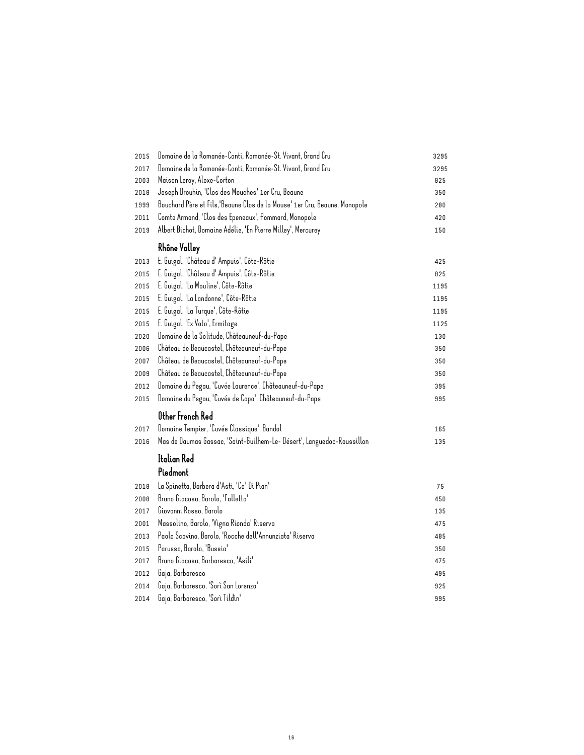| 2015 | Domaine de la Romanée-Conti, Romanée-St. Vivant, Grand Cru                 | 3295 |
|------|----------------------------------------------------------------------------|------|
| 2017 | Domaine de la Romanée-Conti, Romanée-St. Vivant, Grand Cru                 | 3295 |
| 2003 | Maison Leroy, Aloxe-Corton                                                 | 825  |
| 2018 | Joseph Drouhin, 'Clos des Mouches' 1er Cru, Beaune                         | 350  |
| 1999 | Bouchard Père et Fils, 'Beaune Clos de la Mouse' 1er Cru, Beaune, Monopole | 200  |
| 2011 | Comte Armand, 'Clos des Epeneaux', Pommard, Monopole                       | 420  |
| 2019 | Albert Bichot, Domaine Adélie, 'En Pierre Milley', Mercurey                | 150  |
|      | Rhône Valley                                                               |      |
| 2013 | E. Guigal, 'Château d' Ampuis', Côte-Rôtie                                 | 425  |
| 2015 | E. Guigal, 'Château d' Ampuis', Côte-Rôtie                                 | 825  |
| 2015 | E. Guigal, 'La Mouline', Côte-Rôtie                                        | 1195 |
| 2015 | E. Guigal, 'La Landonne', Côte-Rôtie                                       | 1195 |
| 2015 | E. Guigal, 'La Turque', Côte-Rôtie                                         | 1195 |
| 2015 | E. Guigal, 'Ex Voto', Ermitage                                             | 1125 |
| 2020 | Domaine de la Solitude, Châteauneuf-du-Pape                                | 130  |
| 2006 | Château de Beaucastel, Châteauneuf-du-Pape                                 | 350  |
| 2007 | Château de Beaucastel, Châteauneuf-du-Pape                                 | 350  |
| 2009 | Château de Beaucastel, Châteauneuf-du-Pape                                 | 350  |
| 2012 | Domaine du Pegau, 'Cuvée Laurence', Châteauneuf-du-Pape                    | 395  |
| 2015 | Domaine du Pegau, 'Cuvée de Capo', Châteauneuf-du-Pape                     | 995  |
|      | Other French Red                                                           |      |
| 2017 | Domaine Tempier, 'Cuvée Classique', Bandol                                 | 165  |
| 2016 | Mas de Daumas Gassac, 'Saint-Guilhem-Le- Désert', Languedoc-Roussillon     | 135  |
|      | Italian Red                                                                |      |
|      | Piedmont                                                                   |      |
| 2018 | La Spinetta, Barbera d'Asti, 'Ca' Di Pian'                                 | 75   |
| 2008 | Bruno Giacosa, Barolo, 'Falletto'                                          | 450  |
| 2017 | Giovanni Rosso, Barolo                                                     | 135  |
| 2001 | Massolino, Barolo, 'Vigna Rionda' Riserva                                  | 475  |
| 2013 | Paolo Scavino, Barolo, 'Rocche dell'Annunziata' Riserva                    | 485  |
| 2015 | Parusso, Barolo, 'Bussia'                                                  | 350  |
| 2017 | Bruno Giacosa, Barbaresco, 'Asili'                                         | 475  |
| 2012 | Gaja, Barbaresco                                                           | 495  |
| 2014 | Gaja, Barbaresco, 'Sorì San Lorenzo'                                       | 925  |
| 2014 | Gaja, Barbaresco, 'Sorì Tildìn'                                            | 995  |
|      |                                                                            |      |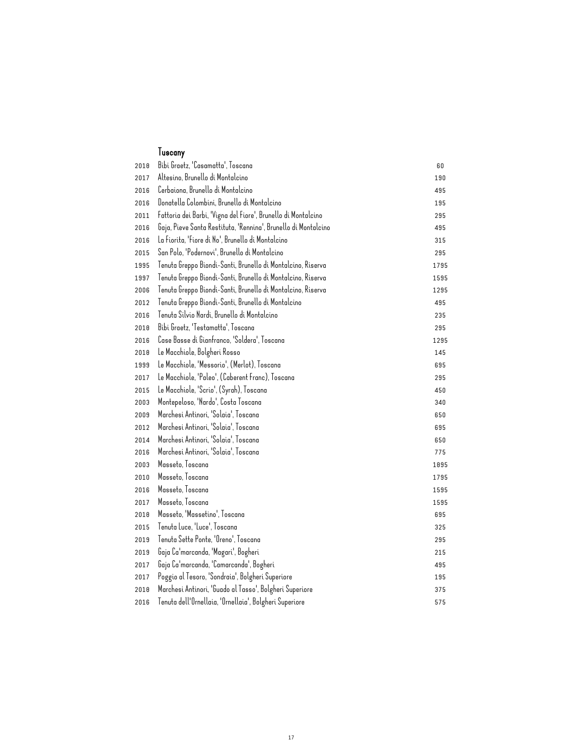#### Tuscany

| 2018 | Bibi Graetz, 'Casamatta', Toscana                              | 60   |
|------|----------------------------------------------------------------|------|
| 2017 | Altesino, Brunello di Montalcino                               | 190  |
| 2016 | Cerbaiona, Brunello di Montalcino                              | 495  |
| 2016 | Donatella Colombini, Brunello di Montalcino                    | 195  |
| 2011 | Fattoria dei Barbi, 'Vigna del Fiore', Brunello di Montalcino  | 295  |
| 2016 | Gaja, Pieve Santa Restituta, 'Rennina', Brunello di Montalcino | 495  |
| 2016 | La Fiorita, 'Fiore di No', Brunello di Montalcino              | 315  |
| 2015 | San Polo, 'Podernovi', Brunello di Montalcino                  | 295  |
| 1995 | Tenuta Greppo Biondi-Santi, Brunello di Montalcino, Riserva    | 1795 |
| 1997 | Tenuta Greppo Biondi-Santi, Brunello di Montalcino, Riserva    | 1595 |
| 2006 | Tenuta Greppo Biondi-Santi, Brunello di Montalcino, Riserva    | 1295 |
| 2012 | Tenuta Greppo Biondi-Santi, Brunello di Montalcino             | 495  |
| 2016 | Tenuta Silvio Nardi, Brunello di Montalcino                    | 235  |
| 2018 | Bibi Graetz, 'Testamatta', Toscana                             | 295  |
| 2016 | Case Basse di Gianfranco, 'Soldera', Toscana                   | 1295 |
| 2018 | Le Macchiole, Bolgheri Rosso                                   | 145  |
| 1999 | Le Macchiole, 'Messorio', (Merlot), Toscana                    | 695  |
| 2017 | Le Macchiole, 'Paleo', (Caberent Franc), Toscana               | 295  |
| 2015 | Le Macchiole, 'Scrio', (Syrah), Toscana                        | 450  |
| 2003 | Montepeloso, 'Nardo', Costa Toscana                            | 340  |
| 2009 | Marchesi Antinori, 'Solaia', Toscana                           | 650  |
| 2012 | Marchesi Antinori, 'Solaia', Toscana                           | 695  |
| 2014 | Marchesi Antinori, 'Solaia', Toscana                           | 650  |
| 2016 | Marchesi Antinori, 'Solaia', Toscana                           | 775  |
| 2003 | Masseto, Toscana                                               | 1895 |
| 2010 | Masseto, Toscana                                               | 1795 |
| 2016 | Masseto, Toscana                                               | 1595 |
| 2017 | Masseto, Toscana                                               | 1595 |
| 2018 | Masseto, 'Massetino', Toscana                                  | 695  |
| 2015 | Tenuta Luce, 'Luce', Toscana                                   | 325  |
| 2019 | Tenuta Sette Ponte, 'Oreno', Toscana                           | 295  |
| 2019 | Gaja Ca'marcanda, 'Magari', Bogheri                            | 215  |
| 2017 | Gaja Ca'marcanda, 'Camarcanda', Bogheri                        | 495  |
| 2017 | Poggio al Tesoro, 'Sondraia', Bolgheri Superiore               | 195  |
| 2010 | Marchesi Antinori, 'Guado al Tasso', Bolgheri Superiore        | 375  |
| 2016 | Tenuta dell'Ornellaia, 'Ornellaia', Bolgheri Superiore         | 575  |
|      |                                                                |      |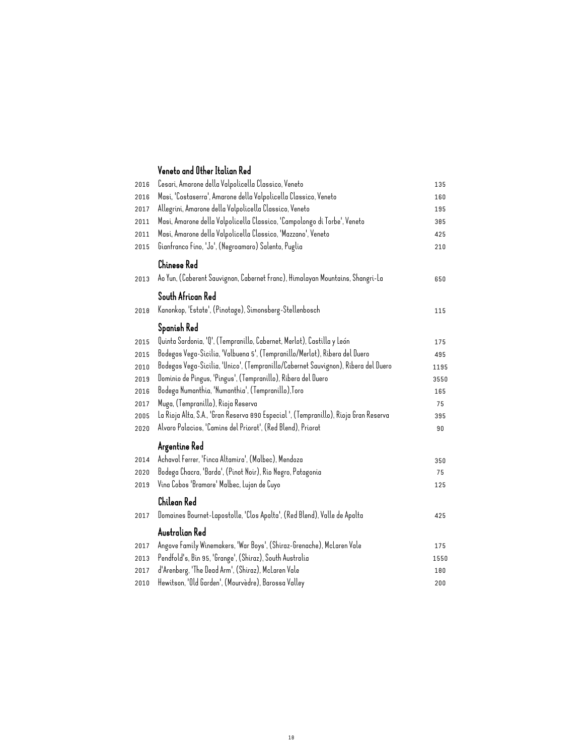#### Veneto and Other Italian Red

| 2016 | Cesari, Amarone della Valpolicella Classico, Veneto                                  | 135  |
|------|--------------------------------------------------------------------------------------|------|
| 2016 | Masi, 'Costaserra', Amarone della Valpolicella Classico, Veneto                      | 160  |
| 2017 | Allegrini, Amarone della Valpolicella Classico, Veneto                               | 195  |
| 2011 | Masi, Amarone della Valpolicella Classico, 'Campolongo di Torbe', Veneto             | 385  |
| 2011 | Masi, Amarone della Valpolicella Classico, 'Mazzano', Veneto                         | 425  |
| 2015 | Gianfranco Fino, 'Jo', (Negroamaro) Salento, Puglia                                  | 210  |
|      | Chinese Red                                                                          |      |
| 2013 | Ao Yun, (Caberent Sauvignon, Cabernet Franc), Himalayan Mountains, Shangri-La        | 650  |
|      | South African Red                                                                    |      |
| 2018 | Kanonkop, 'Estate', (Pinotage), Simonsberg-Stellenbosch                              | 115  |
|      | Spanish Red                                                                          |      |
| 2015 | Quinta Sardonia, 'Q', (Tempranillo, Cabernet, Merlot), Castilla y León               | 175  |
| 2015 | Bodegas Vega-Sicilia, 'Valbuena 5', (Tempranillo/Merlot), Ribera del Duero           | 495  |
| 2010 | Bodegas Vega-Sicilia, 'Unico', (Tempranillo/Cabernet Sauvignon), Ribera del Duero    | 1195 |
| 2019 | Dominio de Pingus, 'Pingus', (Tempranillo), Ribera del Duero                         | 3550 |
| 2016 | Bodega Numanthia, 'Numanthia', (Tempranillo),Toro                                    | 165  |
| 2017 | Muga, (Tempranillo), Rioja Reserva                                                   | 75   |
| 2005 | La Rioja Alta, S.A., 'Gran Reserva 890 Especial ', (Tempranillo), Rioja Gran Reserva | 395  |
| 2020 | Alvaro Palacios, 'Camins del Priorat', (Red Blend), Priorat                          | 90   |
|      | Argentine Red                                                                        |      |
| 2014 | Achaval Ferrer, 'Finca Altamira', (Malbec), Mendoza                                  | 350  |
| 2020 | Bodega Chacra, 'Barda', (Pinot Noir), Rio Negro, Patagonia                           | 75   |
| 2019 | Vina Cobos 'Bramare' Malbec, Lujan de Cuyo                                           | 125  |
|      | Chilean Red                                                                          |      |
| 2017 | Domaines Bournet-Lapostolle, 'Clos Apalta', (Red Blend), Valle de Apalta             | 425  |
|      | Australian Red                                                                       |      |
| 2017 | Angove Family Winemakers, 'War Boys', (Shiraz-Grenache), McLaren Vale                | 175  |
| 2013 | Pendfold's, Bin 95, 'Grange', (Shiraz), South Australia                              | 1550 |
| 2017 | d'Arenberg, 'The Dead Arm', (Shiraz), McLaren Vale                                   | 100  |
| 2010 | Hewitson, 'Old Garden', (Mourvèdre), Barossa Valley                                  | 200  |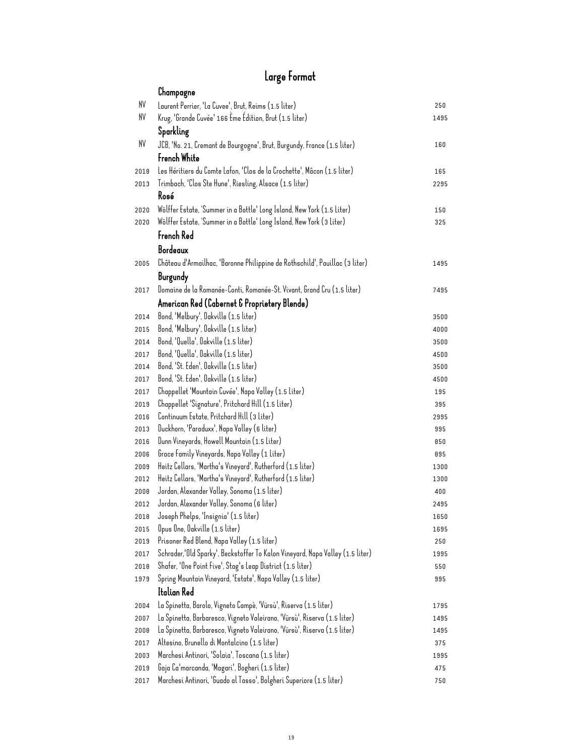## Large Format

|              | Champagne                                                                      |            |
|--------------|--------------------------------------------------------------------------------|------------|
| NV           | Laurent Perrier, 'La Cuvee', Brut, Reims (1.5 liter)                           | 250        |
| NV           | Krug, 'Grande Cuvée' 166 Eme Edition, Brut (1.5 liter)                         | 1495       |
|              | Sparkling                                                                      |            |
| NV           | JCB, 'No. 21, Cremant de Bourgogne', Brut, Burgundy, France (1.5 liter)        | 160        |
|              | French White                                                                   |            |
| 2018         | Les Héritiers du Comte Lafon, 'Clos de la Crochette', Mâcon (1.5 liter)        | 165        |
| 2013         | Trimbach, 'Clos Ste Hune', Riesling, Alsace (1.5 liter)                        | 2295       |
|              | Rosé                                                                           |            |
| 2020         | Wölffer Estate, 'Summer in a Bottle' Long Island, New York (1.5 Liter)         | 150        |
| 2020         | Wölffer Estate, 'Summer in a Bottle' Long Island, New York (3 Liter)           | 325        |
|              | French Red                                                                     |            |
|              | Bordeaux                                                                       |            |
| 2005         | Château d'Armailhac, 'Baronne Philippine de Rothschild', Pauillac (3 liter)    | 1495       |
|              |                                                                                |            |
|              | Burgundy                                                                       |            |
| 2017         | Domaine de la Romanée-Conti, Romanée-St. Vivant, Grand Cru (1.5 liter)         | 7495       |
|              | American Red (Cabernet & Proprietery Blends)                                   |            |
| 2014         | Bond, 'Melbury', Oakville (1.5 liter)                                          | 3500       |
| 2015         | Bond, 'Melbury', Oakville (1.5 liter)                                          | 4000       |
| 2014         | Bond, 'Quella', Oakville (1.5 liter)                                           | 3500       |
| 2017         | Bond, 'Quella', Oakville (1.5 liter)<br>Bond, 'St. Eden', Oakville (1.5 liter) | 4500       |
| 2014         | Bond, 'St. Eden', Oakville (1.5 liter)                                         | 3500       |
| 2017<br>2017 | Chappellet 'Mountain Cuvée', Napa Valley (1.5 Liter)                           | 4500       |
| 2019         | Chappellet 'Signature', Pritchard Hill (1.5 Liter)                             | 195<br>395 |
| 2016         | Continuum Estate, Pritchard Hill (3 Liter)                                     | 2995       |
| 2013         | Duckhorn, 'Paraduxx', Napa Valley (6 liter)                                    | 995        |
| 2016         | Dunn Vineyards, Howell Mountain (1.5 Liter)                                    | 850        |
| 2006         | Grace Family Vineyards, Napa Valley (1 Liter)                                  | 895        |
| 2009         | Heitz Cellars, 'Martha's Vineyard', Rutherford (1.5 liter)                     | 1300       |
| 2012         | Heitz Cellars, 'Martha's Vineyard', Rutherford (1.5 liter)                     | 1300       |
| 2008         | Jordan, Alexander Valley, Sonoma (1.5 liter)                                   | 400        |
| 2012         | Jordan, Alexander Valley, Sonoma (6 liter)                                     | 2495       |
| 2018         | Joseph Phelps, 'Insignia' (1.5 liter)                                          | 1650       |
| 2015         | Opus One, Oakville (1.5 liter)                                                 | 1695       |
| 2019         | Prisoner Red Blend, Napa Valley (1.5 liter)                                    | 250        |
| 2017         | Schrader,'Old Sparky', Beckstoffer To Kalon Vineyard, Napa Valley (1.5 liter)  | 1995       |
| 2018         | Shafer, 'One Point Five', Stag's Leap District (1.5 liter)                     | 550        |
| 1979         | Spring Mountain Vineyard, 'Estate', Napa Valley (1.5 liter)                    | 995        |
|              | Italian Red                                                                    |            |
| 2004         | La Spinetta, Barolo, Vigneto Campè, 'Vürsù', Riserva (1.5 liter)               | 1795       |
| 2007         | La Spinetta, Barbaresco, Vigneto Valeirano, 'Vürsù', Riserva (1.5 liter)       | 1495       |
| 2008         | La Spinetta, Barbaresco, Vigneto Valeirano, 'Vürsù', Riserva (1.5 liter)       | 1495       |
| 2017         | Altesino, Brunello di Montalcino (1.5 liter)                                   | 375        |
| 2003         | Marchesi Antinori, 'Solaia', Toscana (1.5 liter)                               | 1995       |
| 2019         | Gaja Ca'marcanda, 'Magari', Bogheri (1.5 liter)                                | 475        |
| 2017         | Marchesi Antinori, 'Guado al Tasso', Bolgheri Superiore (1.5 liter)            | 750        |